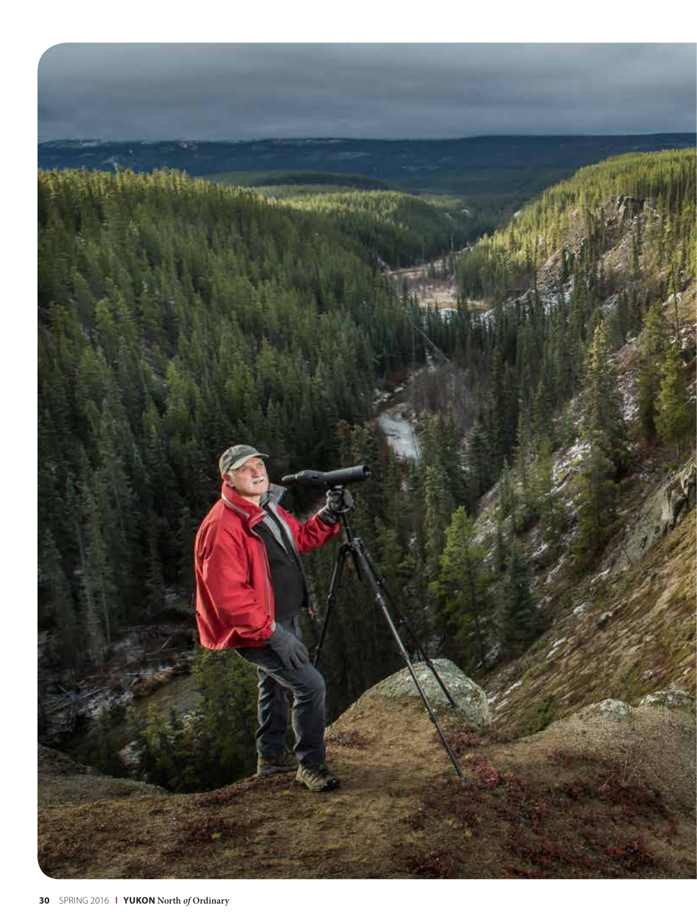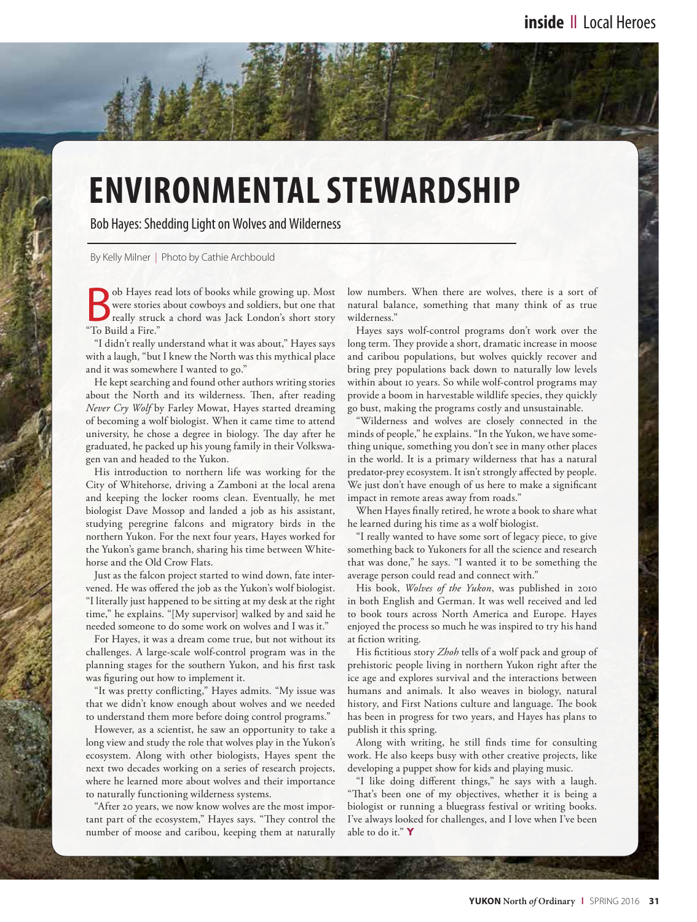## **ENVIRONMENTAL STEWARDSHIP**

Bob Hayes: Shedding Light on Wolves and Wilderness

By Kelly Milner | Photo by Cathie Archbould

Bob Hayes read lots of books while growing up. Most were stories about cowboys and soldiers, but one that really struck a chord was Jack London's short story "To Build a Fire."

"I didn't really understand what it was about," Hayes says with a laugh, "but I knew the North was this mythical place and it was somewhere I wanted to go."

He kept searching and found other authors writing stories about the North and its wilderness. Then, after reading *Never Cry Wolf* by Farley Mowat, Hayes started dreaming of becoming a wolf biologist. When it came time to attend university, he chose a degree in biology. The day after he graduated, he packed up his young family in their Volkswagen van and headed to the Yukon.

His introduction to northern life was working for the City of Whitehorse, driving a Zamboni at the local arena and keeping the locker rooms clean. Eventually, he met biologist Dave Mossop and landed a job as his assistant, studying peregrine falcons and migratory birds in the northern Yukon. For the next four years, Hayes worked for the Yukon's game branch, sharing his time between Whitehorse and the Old Crow Flats.

Just as the falcon project started to wind down, fate intervened. He was offered the job as the Yukon's wolf biologist. "I literally just happened to be sitting at my desk at the right time," he explains. "[My supervisor] walked by and said he needed someone to do some work on wolves and I was it."

For Hayes, it was a dream come true, but not without its challenges. A large-scale wolf-control program was in the planning stages for the southern Yukon, and his first task was figuring out how to implement it.

"It was pretty conflicting," Hayes admits. "My issue was that we didn't know enough about wolves and we needed to understand them more before doing control programs."

However, as a scientist, he saw an opportunity to take a long view and study the role that wolves play in the Yukon's ecosystem. Along with other biologists, Hayes spent the next two decades working on a series of research projects, where he learned more about wolves and their importance to naturally functioning wilderness systems.

"After 20 years, we now know wolves are the most important part of the ecosystem," Hayes says. "They control the number of moose and caribou, keeping them at naturally

low numbers. When there are wolves, there is a sort of natural balance, something that many think of as true wilderness."

Hayes says wolf-control programs don't work over the long term. They provide a short, dramatic increase in moose and caribou populations, but wolves quickly recover and bring prey populations back down to naturally low levels within about 10 years. So while wolf-control programs may provide a boom in harvestable wildlife species, they quickly go bust, making the programs costly and unsustainable.

"Wilderness and wolves are closely connected in the minds of people," he explains. "In the Yukon, we have something unique, something you don't see in many other places in the world. It is a primary wilderness that has a natural predator-prey ecosystem. It isn't strongly affected by people. We just don't have enough of us here to make a significant impact in remote areas away from roads."

When Hayes finally retired, he wrote a book to share what he learned during his time as a wolf biologist.

"I really wanted to have some sort of legacy piece, to give something back to Yukoners for all the science and research that was done," he says. "I wanted it to be something the average person could read and connect with."

His book, *Wolves of the Yukon*, was published in 2010 in both English and German. It was well received and led to book tours across North America and Europe. Hayes enjoyed the process so much he was inspired to try his hand at fiction writing.

His fictitious story *Zhoh* tells of a wolf pack and group of prehistoric people living in northern Yukon right after the ice age and explores survival and the interactions between humans and animals. It also weaves in biology, natural history, and First Nations culture and language. The book has been in progress for two years, and Hayes has plans to publish it this spring.

Along with writing, he still finds time for consulting work. He also keeps busy with other creative projects, like developing a puppet show for kids and playing music.

"I like doing different things," he says with a laugh. "That's been one of my objectives, whether it is being a biologist or running a bluegrass festival or writing books. I've always looked for challenges, and I love when I've been able to do it." **Y**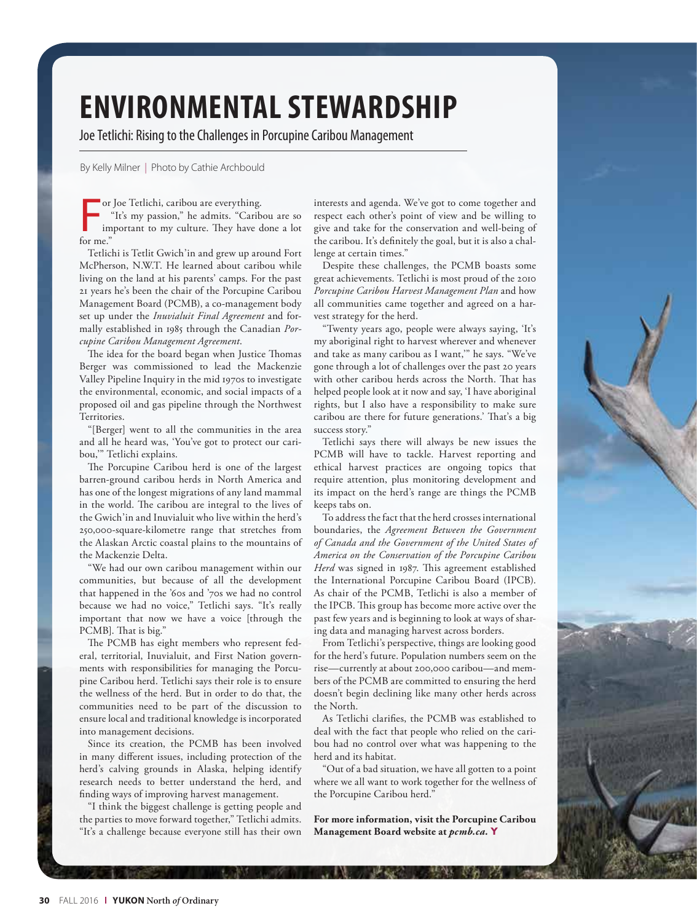## **ENVIRONMENTAL STEWARDSHIP**

Joe Tetlichi: Rising to the Challenges in Porcupine Caribou Management

By Kelly Milner | Photo by Cathie Archbould

or Joe Tetlichi, caribou are everything.

For the contract of the contract of the contract of the contract of the contract of the contract of the contract of the contract of the contract of the contract of the contract of the contract of the contract of the contra "It's my passion," he admits. "Caribou are so important to my culture. They have done a lot

Tetlichi is Tetlit Gwich'in and grew up around Fort McPherson, N.W.T. He learned about caribou while living on the land at his parents' camps. For the past 21 years he's been the chair of the Porcupine Caribou Management Board (PCMB), a co-management body set up under the *Inuvialuit Final Agreement* and formally established in 1985 through the Canadian *Porcupine Caribou Management Agreement*.

The idea for the board began when Justice Thomas Berger was commissioned to lead the Mackenzie Valley Pipeline Inquiry in the mid 1970s to investigate the environmental, economic, and social impacts of a proposed oil and gas pipeline through the Northwest **Territories** 

"[Berger] went to all the communities in the area and all he heard was, 'You've got to protect our caribou,'" Tetlichi explains.

The Porcupine Caribou herd is one of the largest barren-ground caribou herds in North America and has one of the longest migrations of any land mammal in the world. The caribou are integral to the lives of the Gwich'in and Inuvialuit who live within the herd's 250,000-square-kilometre range that stretches from the Alaskan Arctic coastal plains to the mountains of the Mackenzie Delta.

"We had our own caribou management within our communities, but because of all the development that happened in the '60s and '70s we had no control because we had no voice," Tetlichi says. "It's really important that now we have a voice [through the PCMB]. That is big."

The PCMB has eight members who represent federal, territorial, Inuvialuit, and First Nation governments with responsibilities for managing the Porcupine Caribou herd. Tetlichi says their role is to ensure the wellness of the herd. But in order to do that, the communities need to be part of the discussion to ensure local and traditional knowledge is incorporated into management decisions.

Since its creation, the PCMB has been involved in many different issues, including protection of the herd's calving grounds in Alaska, helping identify research needs to better understand the herd, and finding ways of improving harvest management.

"I think the biggest challenge is getting people and the parties to move forward together," Tetlichi admits. "It's a challenge because everyone still has their own

interests and agenda. We've got to come together and respect each other's point of view and be willing to give and take for the conservation and well-being of the caribou. It's definitely the goal, but it is also a challenge at certain times."

Despite these challenges, the PCMB boasts some great achievements. Tetlichi is most proud of the 2010 *Porcupine Caribou Harvest Management Plan* and how all communities came together and agreed on a harvest strategy for the herd.

"Twenty years ago, people were always saying, 'It's my aboriginal right to harvest wherever and whenever and take as many caribou as I want,'" he says. "We've gone through a lot of challenges over the past 20 years with other caribou herds across the North. That has helped people look at it now and say, 'I have aboriginal rights, but I also have a responsibility to make sure caribou are there for future generations.' That's a big success story."

Tetlichi says there will always be new issues the PCMB will have to tackle. Harvest reporting and ethical harvest practices are ongoing topics that require attention, plus monitoring development and its impact on the herd's range are things the PCMB keeps tabs on.

To address the fact that the herd crosses international boundaries, the *Agreement Between the Government of Canada and the Government of the United States of America on the Conservation of the Porcupine Caribou Herd* was signed in 1987. This agreement established the International Porcupine Caribou Board (IPCB). As chair of the PCMB, Tetlichi is also a member of the IPCB. This group has become more active over the past few years and is beginning to look at ways of sharing data and managing harvest across borders.

From Tetlichi's perspective, things are looking good for the herd's future. Population numbers seem on the rise—currently at about 200,000 caribou—and members of the PCMB are committed to ensuring the herd doesn't begin declining like many other herds across the North.

As Tetlichi clarifies, the PCMB was established to deal with the fact that people who relied on the caribou had no control over what was happening to the herd and its habitat.

"Out of a bad situation, we have all gotten to a point where we all want to work together for the wellness of the Porcupine Caribou herd."

**For more information, visit the Porcupine Caribou Management Board website at** *pcmb.ca.* **Y**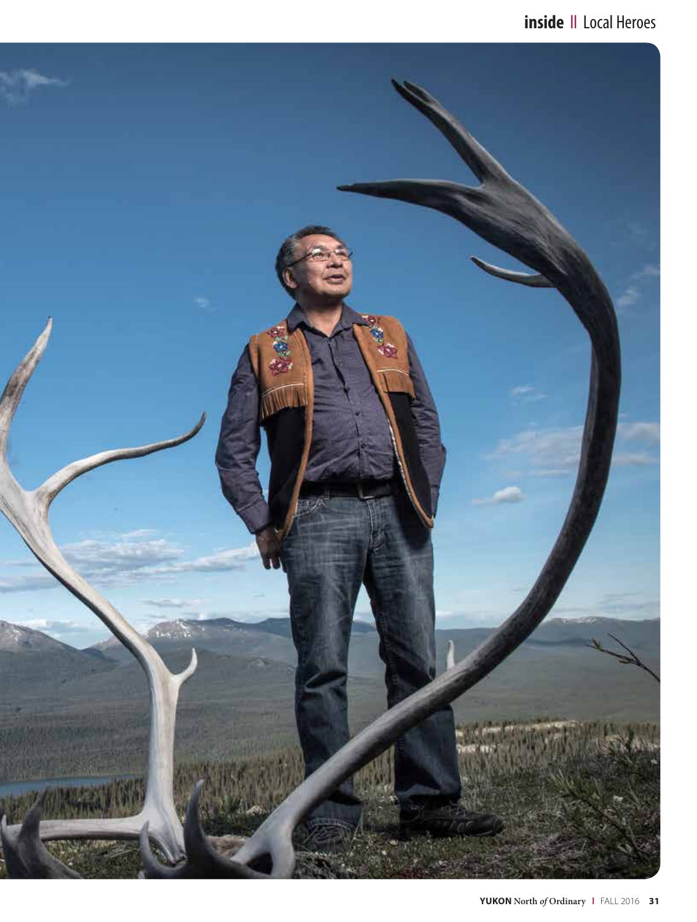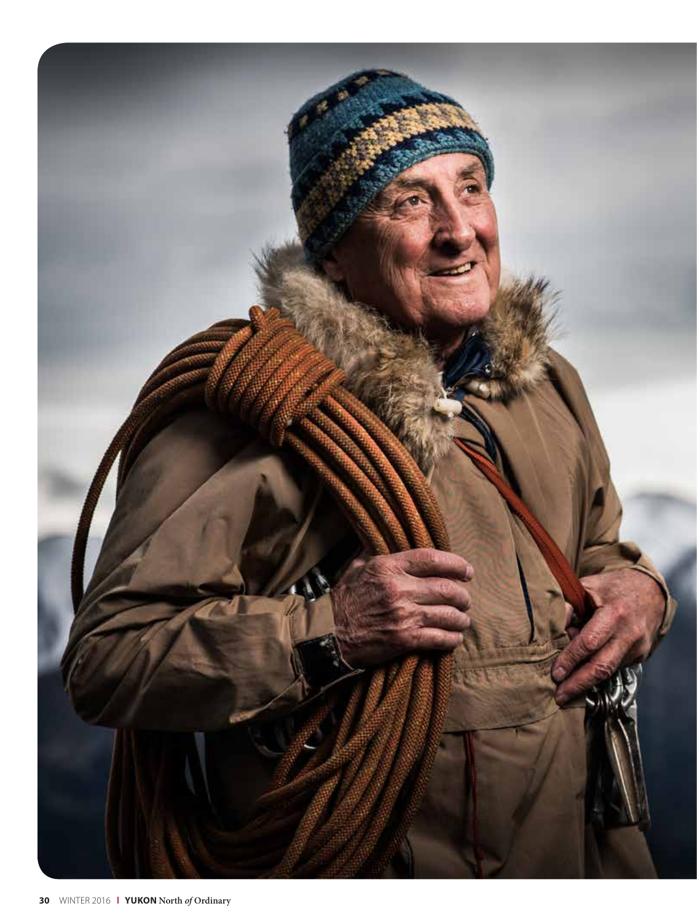